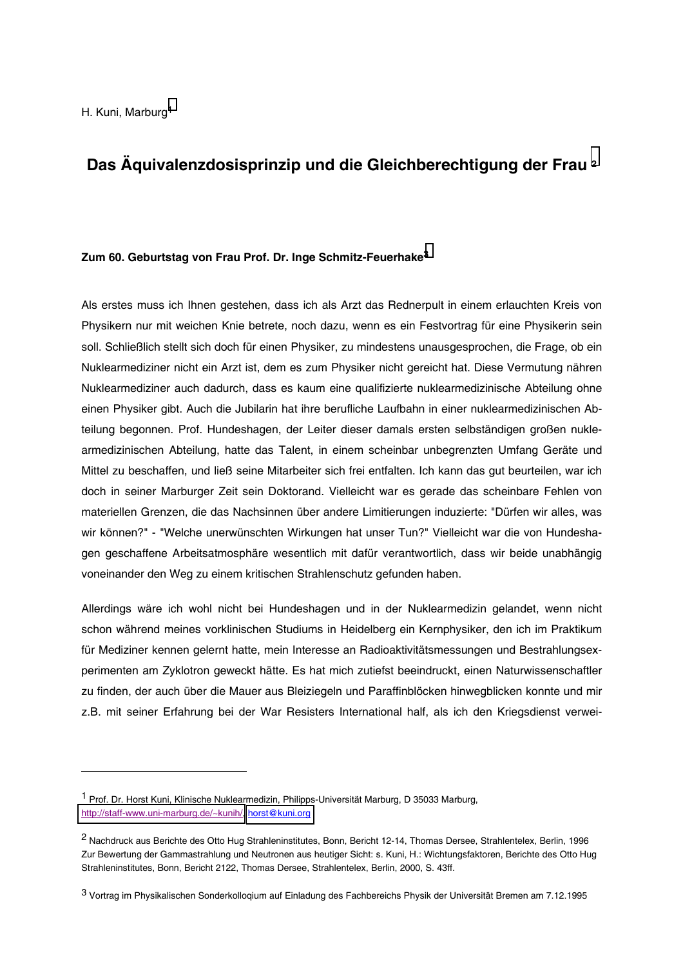# Das Äquivalenzdosisprinzip und die Gleichberechtigung der Frau 2

### Zum 60. Geburtstag von Frau Prof. Dr. Inge Schmitz-Feuerhake<sup>3</sup>

Als erstes muss ich Ihnen gestehen, dass ich als Arzt das Rednerpult in einem erlauchten Kreis von Physikern nur mit weichen Knie betrete, noch dazu, wenn es ein Festvortrag für eine Physikerin sein soll. Schließlich stellt sich doch für einen Physiker, zu mindestens unausgesprochen, die Frage, ob ein Nuklearmediziner nicht ein Arzt ist, dem es zum Physiker nicht gereicht hat. Diese Vermutung nähren Nuklearmediziner auch dadurch, dass es kaum eine qualifizierte nuklearmedizinische Abteilung ohne einen Physiker gibt. Auch die Jubilarin hat ihre berufliche Laufbahn in einer nuklearmedizinischen Abteilung begonnen. Prof. Hundeshagen, der Leiter dieser damals ersten selbständigen großen nuklearmedizinischen Abteilung, hatte das Talent, in einem scheinbar unbegrenzten Umfang Geräte und Mittel zu beschaffen, und ließ seine Mitarbeiter sich frei entfalten. Ich kann das gut beurteilen, war ich doch in seiner Marburger Zeit sein Doktorand. Vielleicht war es gerade das scheinbare Fehlen von materiellen Grenzen, die das Nachsinnen über andere Limitierungen induzierte: "Dürfen wir alles, was wir können?" - "Welche unerwünschten Wirkungen hat unser Tun?" Vielleicht war die von Hundeshagen geschaffene Arbeitsatmosphäre wesentlich mit dafür verantwortlich, dass wir beide unabhängig voneinander den Weg zu einem kritischen Strahlenschutz gefunden haben.

Allerdings wäre ich wohl nicht bei Hundeshagen und in der Nuklearmedizin gelandet, wenn nicht schon während meines vorklinischen Studiums in Heidelberg ein Kernphysiker, den ich im Praktikum für Mediziner kennen gelernt hatte, mein Interesse an Radioaktivitätsmessungen und Bestrahlungsexperimenten am Zyklotron geweckt hätte. Es hat mich zutiefst beeindruckt, einen Naturwissenschaftler zu finden, der auch über die Mauer aus Bleiziegeln und Paraffinblöcken hinwegblicken konnte und mir z.B. mit seiner Erfahrung bei der War Resisters International half, als ich den Kriegsdienst verwei-

<sup>&</sup>lt;sup>1</sup> Prof. Dr. Horst Kuni, Klinische Nuklearmedizin, Philipps-Universität Marburg, D 35033 Marburg, http://staff-www.uni-marburg.de/~kunih/, horst@kuni.org

<sup>&</sup>lt;sup>2</sup> Nachdruck aus Berichte des Otto Hug Strahleninstitutes, Bonn, Bericht 12-14, Thomas Dersee, Strahlentelex, Berlin, 1996 Zur Bewertung der Gammastrahlung und Neutronen aus heutiger Sicht: s. Kuni, H.: Wichtungsfaktoren, Berichte des Otto Hug Strahleninstitutes, Bonn, Bericht 2122, Thomas Dersee, Strahlentelex, Berlin, 2000, S. 43ff.

<sup>3</sup> Vortrag im Physikalischen Sonderkolloqium auf Einladung des Fachbereichs Physik der Universität Bremen am 7.12.1995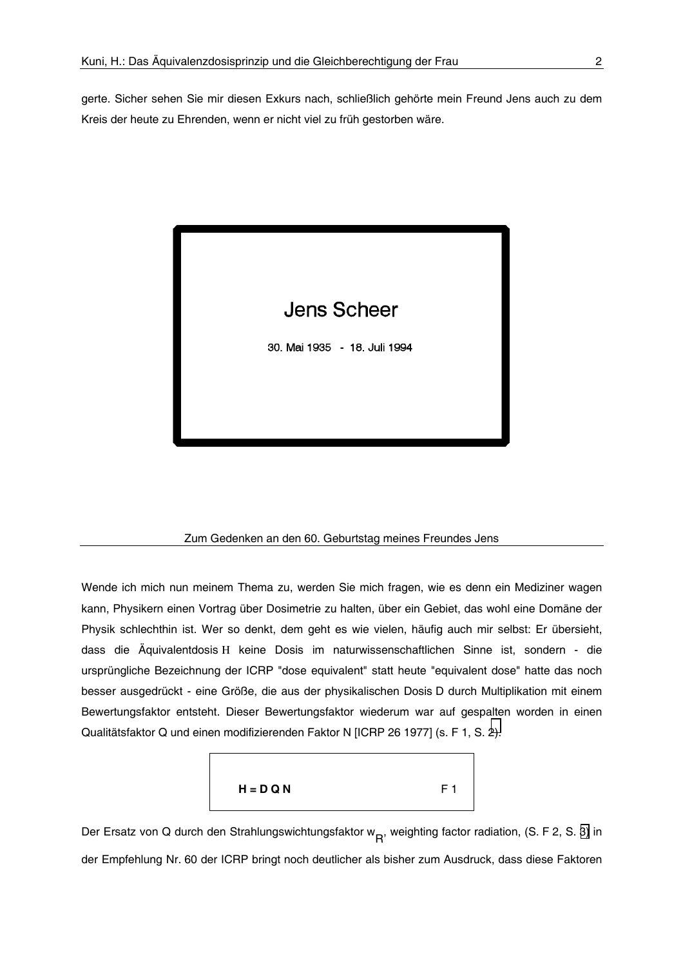gerte. Sicher sehen Sie mir diesen Exkurs nach, schließlich gehörte mein Freund Jens auch zu dem Kreis der heute zu Ehrenden, wenn er nicht viel zu früh gestorben wäre.



### Zum Gedenken an den 60. Geburtstag meines Freundes Jens

Wende ich mich nun meinem Thema zu, werden Sie mich fragen, wie es denn ein Mediziner wagen kann, Physikern einen Vortrag über Dosimetrie zu halten, über ein Gebiet, das wohl eine Domäne der Physik schlechthin ist. Wer so denkt, dem geht es wie vielen, häufig auch mir selbst: Er übersieht, dass die Äquivalentdosis H keine Dosis im naturwissenschaftlichen Sinne ist, sondern - die ursprüngliche Bezeichnung der ICRP "dose equivalent" statt heute "equivalent dose" hatte das noch besser ausgedrückt - eine Größe, die aus der physikalischen Dosis D durch Multiplikation mit einem Bewertungsfaktor entsteht. Dieser Bewertungsfaktor wiederum war auf gespalten worden in einen Qualitätsfaktor Q und einen modifizierenden Faktor N [ICRP 26 1977] (s. F 1, S. 2).



Der Ersatz von Q durch den Strahlungswichtungsfaktor w<sub>R</sub>, weighting factor radiation, (S. F 2, S. 3) in der Empfehlung Nr. 60 der ICRP bringt noch deutlicher als bisher zum Ausdruck, dass diese Faktoren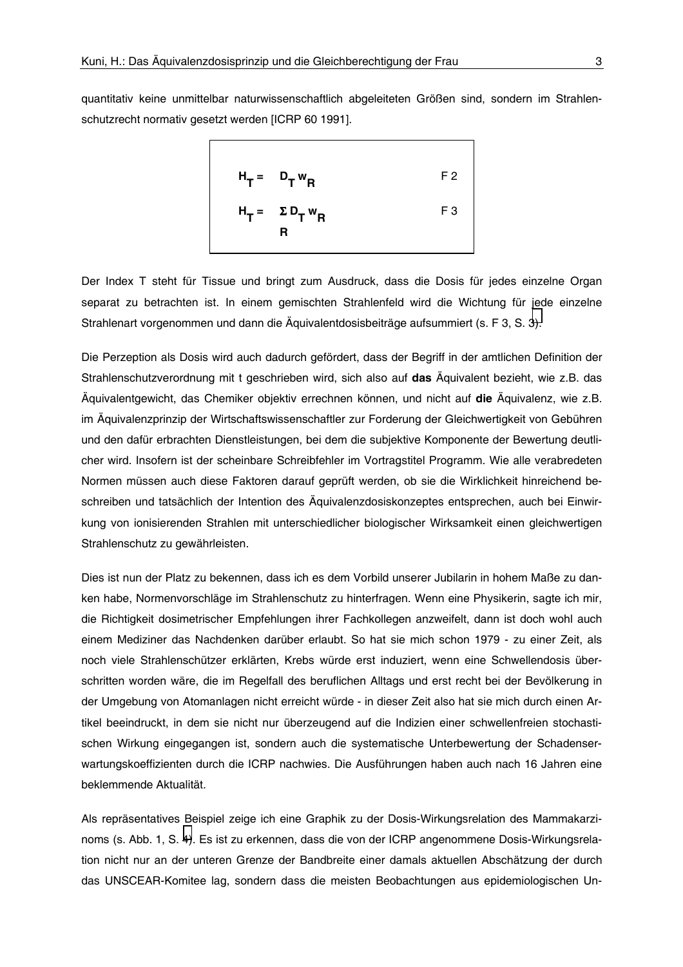<span id="page-2-0"></span>quantitativ keine unmittelbar naturwissenschaftlich abgeleiteten Größen sind, sondern im Strahlenschutzrecht normativ gesetzt werden [ICRP 60 1991].



Der Index T steht für Tissue und bringt zum Ausdruck, dass die Dosis für jedes einzelne Organ separat zu betrachten ist. In einem gemischten Strahlenfeld wird die Wichtung für jede einzelne Strahlenart vorgenommen und dann die Äquivalentdosisbeiträge aufsummiert (s. F 3, S. 3).

Die Perzeption als Dosis wird auch dadurch gefördert, dass der Begriff in der amtlichen Definition der Strahlenschutzverordnung mit t geschrieben wird, sich also auf das Äquivalent bezieht, wie z.B. das Äguivalentgewicht, das Chemiker objektiv errechnen können, und nicht auf die Äguivalenz, wie z.B. im Äquivalenzprinzip der Wirtschaftswissenschaftler zur Forderung der Gleichwertigkeit von Gebühren und den dafür erbrachten Dienstleistungen, bei dem die subjektive Komponente der Bewertung deutlicher wird. Insofern ist der scheinbare Schreibfehler im Vortragstitel Programm. Wie alle verabredeten Normen müssen auch diese Faktoren darauf geprüft werden, ob sie die Wirklichkeit hinreichend beschreiben und tatsächlich der Intention des Äguivalenzdosiskonzeptes entsprechen, auch bei Einwirkung von ionisierenden Strahlen mit unterschiedlicher biologischer Wirksamkeit einen gleichwertigen Strahlenschutz zu gewährleisten.

Dies ist nun der Platz zu bekennen, dass ich es dem Vorbild unserer Jubilarin in hohem Maße zu danken habe, Normenvorschläge im Strahlenschutz zu hinterfragen. Wenn eine Physikerin, sagte ich mir, die Richtigkeit dosimetrischer Empfehlungen ihrer Fachkollegen anzweifelt, dann ist doch wohl auch einem Mediziner das Nachdenken darüber erlaubt. So hat sie mich schon 1979 - zu einer Zeit, als noch viele Strahlenschützer erklärten, Krebs würde erst induziert, wenn eine Schwellendosis überschritten worden wäre, die im Regelfall des beruflichen Alltags und erst recht bei der Bevölkerung in der Umgebung von Atomanlagen nicht erreicht würde - in dieser Zeit also hat sie mich durch einen Artikel beeindruckt, in dem sie nicht nur überzeugend auf die Indizien einer schwellenfreien stochastischen Wirkung eingegangen ist, sondern auch die systematische Unterbewertung der Schadenserwartungskoeffizienten durch die ICRP nachwies. Die Ausführungen haben auch nach 16 Jahren eine beklemmende Aktualität.

Als repräsentatives Beispiel zeige ich eine Graphik zu der Dosis-Wirkungsrelation des Mammakarzinoms (s. Abb. 1, S. 4). Es ist zu erkennen, dass die von der ICRP angenommene Dosis-Wirkungsrelation nicht nur an der unteren Grenze der Bandbreite einer damals aktuellen Abschätzung der durch das UNSCEAR-Komitee lag, sondern dass die meisten Beobachtungen aus epidemiologischen Un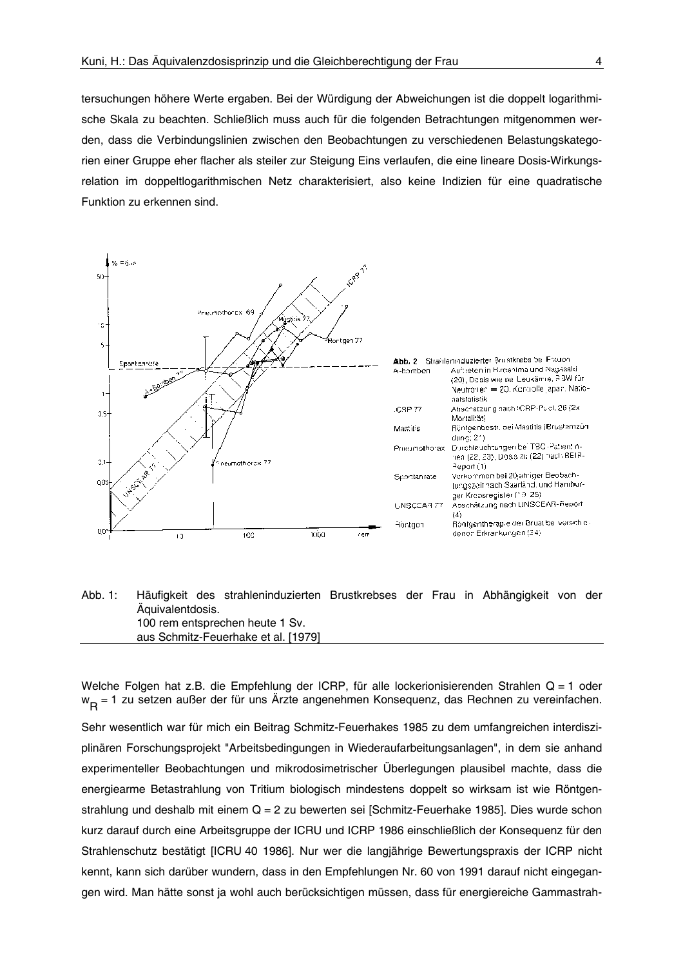<span id="page-3-0"></span>tersuchungen höhere Werte ergaben. Bei der Würdigung der Abweichungen ist die doppelt logarithmische Skala zu beachten. Schließlich muss auch für die folgenden Betrachtungen mitgenommen werden, dass die Verbindungslinien zwischen den Beobachtungen zu verschiedenen Belastungskategorien einer Gruppe eher flacher als steiler zur Steigung Eins verlaufen, die eine lineare Dosis-Wirkungsrelation im doppeltlogarithmischen Netz charakterisiert, also keine Indizien für eine quadratische Funktion zu erkennen sind.



#### Häufigkeit des strahleninduzierten Brustkrebses der Frau in Abhängigkeit von der Abb. 1: Äquivalentdosis. 100 rem entsprechen heute 1 Sv. aus Schmitz-Feuerhake et al. [1979]

Welche Folgen hat z.B. die Empfehlung der ICRP, für alle lockerionisierenden Strahlen Q = 1 oder w<sub>D</sub> = 1 zu setzen außer der für uns Ärzte angenehmen Konsequenz, das Rechnen zu vereinfachen.

Sehr wesentlich war für mich ein Beitrag Schmitz-Feuerhakes 1985 zu dem umfangreichen interdisziplinären Forschungsprojekt "Arbeitsbedingungen in Wiederaufarbeitungsanlagen", in dem sie anhand experimenteller Beobachtungen und mikrodosimetrischer Überlegungen plausibel machte, dass die energiearme Betastrahlung von Tritium biologisch mindestens doppelt so wirksam ist wie Röntgenstrahlung und deshalb mit einem Q = 2 zu bewerten sei [Schmitz-Feuerhake 1985]. Dies wurde schon kurz darauf durch eine Arbeitsgruppe der ICRU und ICRP 1986 einschließlich der Konsequenz für den Strahlenschutz bestätigt IICRU 40 1986]. Nur wer die langiährige Bewertungspraxis der ICRP nicht kennt, kann sich darüber wundern, dass in den Empfehlungen Nr. 60 von 1991 darauf nicht eingegangen wird. Man hätte sonst ja wohl auch berücksichtigen müssen, dass für energiereiche Gammastrah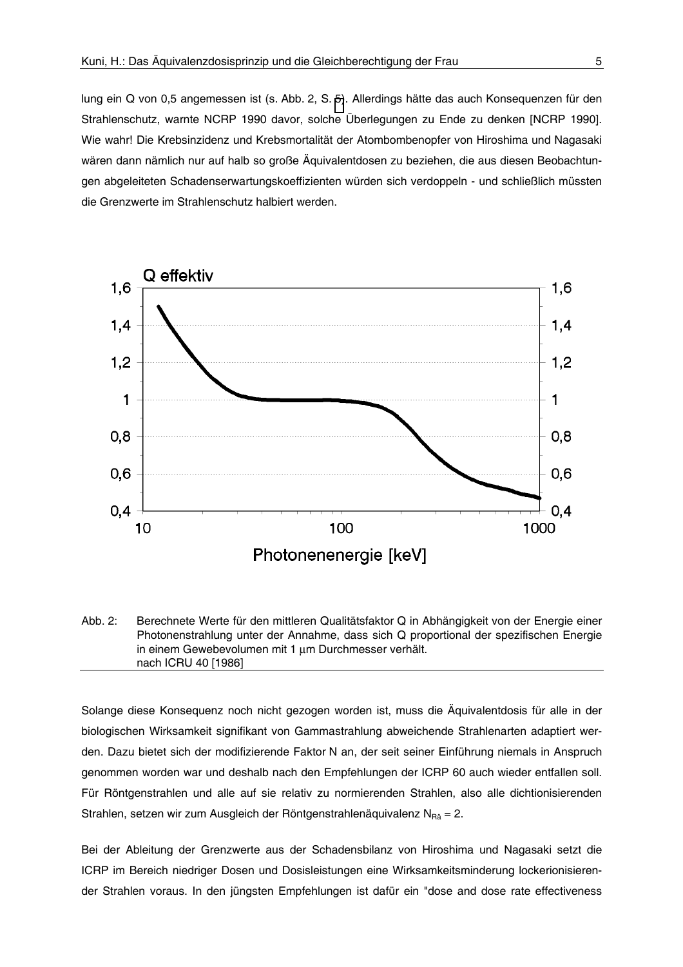lung ein Q von 0,5 angemessen ist (s. Abb. 2, S. 5). Allerdings hätte das auch Konsequenzen für den Strahlenschutz, warnte NCRP 1990 davor, solche Überlegungen zu Ende zu denken [NCRP 1990]. Wie wahr! Die Krebsinzidenz und Krebsmortalität der Atombombenopfer von Hiroshima und Nagasaki wären dann nämlich nur auf halb so große Äguivalentdosen zu beziehen, die aus diesen Beobachtungen abgeleiteten Schadenserwartungskoeffizienten würden sich verdoppeln - und schließlich müssten die Grenzwerte im Strahlenschutz halbiert werden.



Abb. 2: Berechnete Werte für den mittleren Qualitätsfaktor Q in Abhängigkeit von der Energie einer Photonenstrahlung unter der Annahme, dass sich Q proportional der spezifischen Energie in einem Gewebevolumen mit 1 um Durchmesser verhält. nach ICRU 40 [1986]

Solange diese Konsequenz noch nicht gezogen worden ist, muss die Äquivalentdosis für alle in der biologischen Wirksamkeit signifikant von Gammastrahlung abweichende Strahlenarten adaptiert werden. Dazu bietet sich der modifizierende Faktor N an, der seit seiner Einführung niemals in Anspruch genommen worden war und deshalb nach den Empfehlungen der ICRP 60 auch wieder entfallen soll. Für Röntgenstrahlen und alle auf sie relativ zu normierenden Strahlen, also alle dichtionisierenden Strahlen, setzen wir zum Ausgleich der Röntgenstrahlenäquivalenz  $N_{\text{Ra}} = 2$ .

Bei der Ableitung der Grenzwerte aus der Schadensbilanz von Hiroshima und Nagasaki setzt die ICRP im Bereich niedriger Dosen und Dosisleistungen eine Wirksamkeitsminderung lockerionisierender Strahlen voraus. In den jüngsten Empfehlungen ist dafür ein "dose and dose rate effectiveness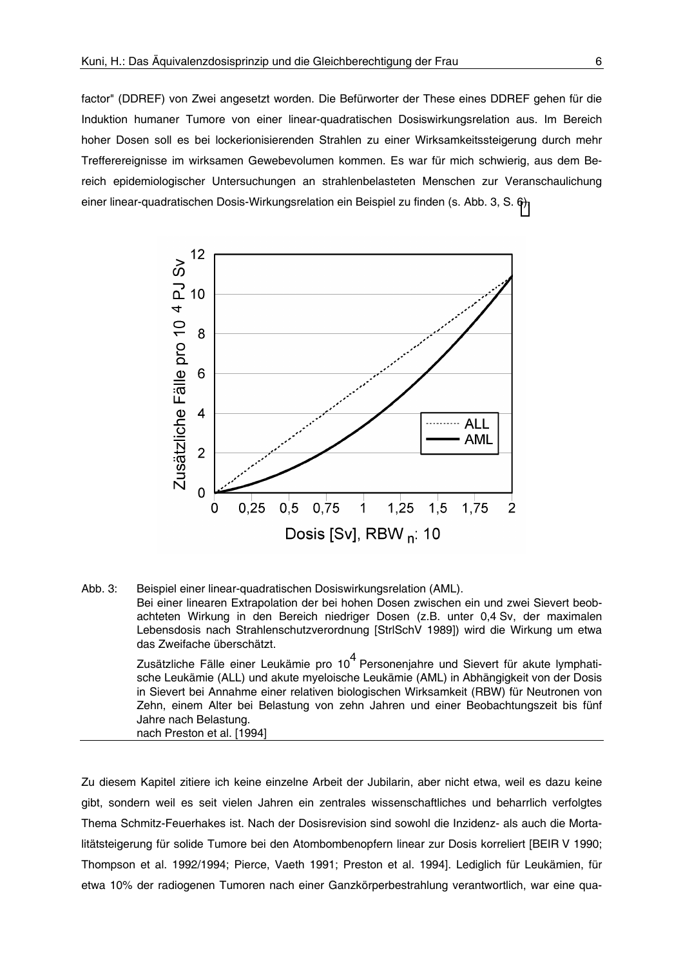factor" (DDREF) von Zwei angesetzt worden. Die Befürworter der These eines DDREF gehen für die Induktion humaner Tumore von einer linear-quadratischen Dosiswirkungsrelation aus. Im Bereich hoher Dosen soll es bei lockerionisierenden Strahlen zu einer Wirksamkeitssteigerung durch mehr Trefferereignisse im wirksamen Gewebevolumen kommen. Es war für mich schwierig, aus dem Bereich epidemiologischer Untersuchungen an strahlenbelasteten Menschen zur Veranschaulichung einer linear-quadratischen Dosis-Wirkungsrelation ein Beispiel zu finden (s. Abb. 3, S. 6).



Abb. 3: Beispiel einer linear-quadratischen Dosiswirkungsrelation (AML). Bei einer linearen Extrapolation der bei hohen Dosen zwischen ein und zwei Sievert beobachteten Wirkung in den Bereich niedriger Dosen (z.B. unter 0,4 Sv, der maximalen Lebensdosis nach Strahlenschutzverordnung [StrlSchV 1989]) wird die Wirkung um etwa das Zweifache überschätzt. Zusätzliche Fälle einer Leukämie pro 10<sup>4</sup> Personenjahre und Sievert für akute lymphatische Leukämie (ALL) und akute myeloische Leukämie (AML) in Abhängigkeit von der Dosis in Sievert bei Annahme einer relativen biologischen Wirksamkeit (RBW) für Neutronen von Zehn, einem Alter bei Belastung von zehn Jahren und einer Beobachtungszeit bis fünf

Jahre nach Belastung. nach Preston et al. [1994]

Zu diesem Kapitel zitiere ich keine einzelne Arbeit der Jubilarin, aber nicht etwa, weil es dazu keine gibt, sondern weil es seit vielen Jahren ein zentrales wissenschaftliches und beharrlich verfolgtes Thema Schmitz-Feuerhakes ist. Nach der Dosisrevision sind sowohl die Inzidenz- als auch die Mortalitätsteigerung für solide Tumore bei den Atombombenopfern linear zur Dosis korreliert [BEIR V 1990; Thompson et al. 1992/1994; Pierce, Vaeth 1991; Preston et al. 1994]. Lediglich für Leukämien, für etwa 10% der radiogenen Tumoren nach einer Ganzkörperbestrahlung verantwortlich, war eine qua-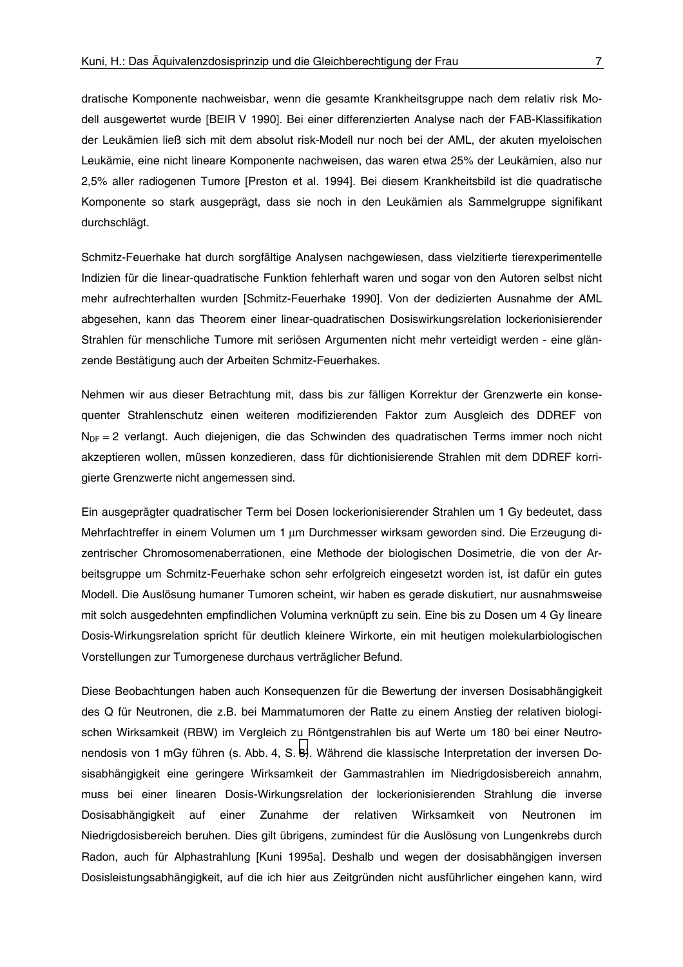dratische Komponente nachweisbar, wenn die gesamte Krankheitsgruppe nach dem relativ risk Modell ausgewertet wurde [BEIR V 1990]. Bei einer differenzierten Analyse nach der FAB-Klassifikation der Leukämien ließ sich mit dem absolut risk-Modell nur noch bei der AML, der akuten myeloischen Leukämie, eine nicht lineare Komponente nachweisen, das waren etwa 25% der Leukämien, also nur 2,5% aller radiogenen Tumore [Preston et al. 1994]. Bei diesem Krankheitsbild ist die quadratische Komponente so stark ausgeprägt, dass sie noch in den Leukämien als Sammelgruppe signifikant durchschlägt.

Schmitz-Feuerhake hat durch sorgfältige Analysen nachgewiesen, dass vielzitierte tierexperimentelle Indizien für die linear-quadratische Funktion fehlerhaft waren und sogar von den Autoren selbst nicht mehr aufrechterhalten wurden [Schmitz-Feuerhake 1990]. Von der dedizierten Ausnahme der AML abgesehen, kann das Theorem einer linear-quadratischen Dosiswirkungsrelation lockerionisierender Strahlen für menschliche Tumore mit seriösen Argumenten nicht mehr verteidigt werden - eine glänzende Bestätigung auch der Arbeiten Schmitz-Feuerhakes.

Nehmen wir aus dieser Betrachtung mit, dass bis zur fälligen Korrektur der Grenzwerte ein konsequenter Strahlenschutz einen weiteren modifizierenden Faktor zum Ausgleich des DDREF von  $N_{DF}$  = 2 verlangt. Auch diejenigen, die das Schwinden des quadratischen Terms immer noch nicht akzeptieren wollen, müssen konzedieren, dass für dichtionisierende Strahlen mit dem DDREF korrigierte Grenzwerte nicht angemessen sind.

Ein ausgeprägter guadratischer Term bei Dosen lockerionisierender Strahlen um 1 Gy bedeutet, dass Mehrfachtreffer in einem Volumen um 1 um Durchmesser wirksam geworden sind. Die Erzeugung dizentrischer Chromosomenaberrationen, eine Methode der biologischen Dosimetrie, die von der Arbeitsgruppe um Schmitz-Feuerhake schon sehr erfolgreich eingesetzt worden ist, ist dafür ein gutes Modell. Die Auslösung humaner Tumoren scheint, wir haben es gerade diskutiert, nur ausnahmsweise mit solch ausgedehnten empfindlichen Volumina verknüpft zu sein. Eine bis zu Dosen um 4 Gy lineare Dosis-Wirkungsrelation spricht für deutlich kleinere Wirkorte, ein mit heutigen molekularbiologischen Vorstellungen zur Tumorgenese durchaus verträglicher Befund.

Diese Beobachtungen haben auch Konsequenzen für die Bewertung der inversen Dosisabhängigkeit des Q für Neutronen, die z.B. bei Mammatumoren der Ratte zu einem Anstieg der relativen biologischen Wirksamkeit (RBW) im Vergleich zu Röntgenstrahlen bis auf Werte um 180 bei einer Neutronendosis von 1 mGy führen (s. Abb. 4, S. 8). Während die klassische Interpretation der inversen Dosisabhängigkeit eine geringere Wirksamkeit der Gammastrahlen im Niedrigdosisbereich annahm. muss bei einer linearen Dosis-Wirkungsrelation der lockerionisierenden Strahlung die inverse Dosisabhängigkeit auf einer Zunahme der relativen Wirksamkeit von Neutronen im Niedrigdosisbereich beruhen. Dies gilt übrigens, zumindest für die Auslösung von Lungenkrebs durch Radon, auch für Alphastrahlung [Kuni 1995a]. Deshalb und wegen der dosisabhängigen inversen Dosisleistungsabhängigkeit, auf die ich hier aus Zeitgründen nicht ausführlicher eingehen kann, wird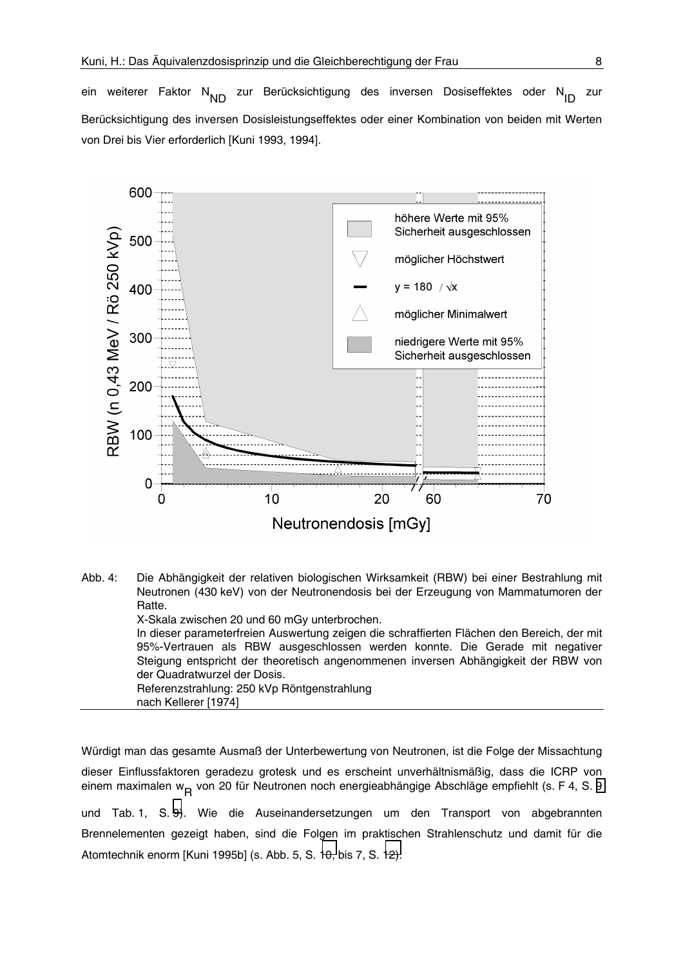<span id="page-7-0"></span>ein weiterer Faktor N<sub>ND</sub> zur Berücksichtigung des inversen Dosiseffektes oder N<sub>ID</sub> zur Berücksichtigung des inversen Dosisleistungseffektes oder einer Kombination von beiden mit Werten von Drei bis Vier erforderlich [Kuni 1993, 1994].



Abb. 4: Die Abhängigkeit der relativen biologischen Wirksamkeit (RBW) bei einer Bestrahlung mit Neutronen (430 keV) von der Neutronendosis bei der Erzeugung von Mammatumoren der Ratte. X-Skala zwischen 20 und 60 mGy unterbrochen. In dieser parameterfreien Auswertung zeigen die schraffierten Flächen den Bereich, der mit 95%-Vertrauen als RBW ausgeschlossen werden konnte. Die Gerade mit negativer Steigung entspricht der theoretisch angenommenen inversen Abhängigkeit der RBW von der Quadratwurzel der Dosis.

Referenzstrahlung: 250 kVp Röntgenstrahlung nach Kellerer [1974]

Würdigt man das gesamte Ausmaß der Unterbewertung von Neutronen, ist die Folge der Missachtung dieser Einflussfaktoren geradezu grotesk und es erscheint unverhältnismäßig, dass die ICRP von einem maximalen w<sub>D</sub> von 20 für Neutronen noch energieabhängige Abschläge empfiehlt (s. F 4, S. 9

und Tab. 1, S. 9). Wie die Auseinandersetzungen um den Transport von abgebrannten Brennelementen gezeigt haben, sind die Folgen im praktischen Strahlenschutz und damit für die Atomtechnik enorm [Kuni 1995b] (s. Abb. 5, S. 10, bis 7, S. 12).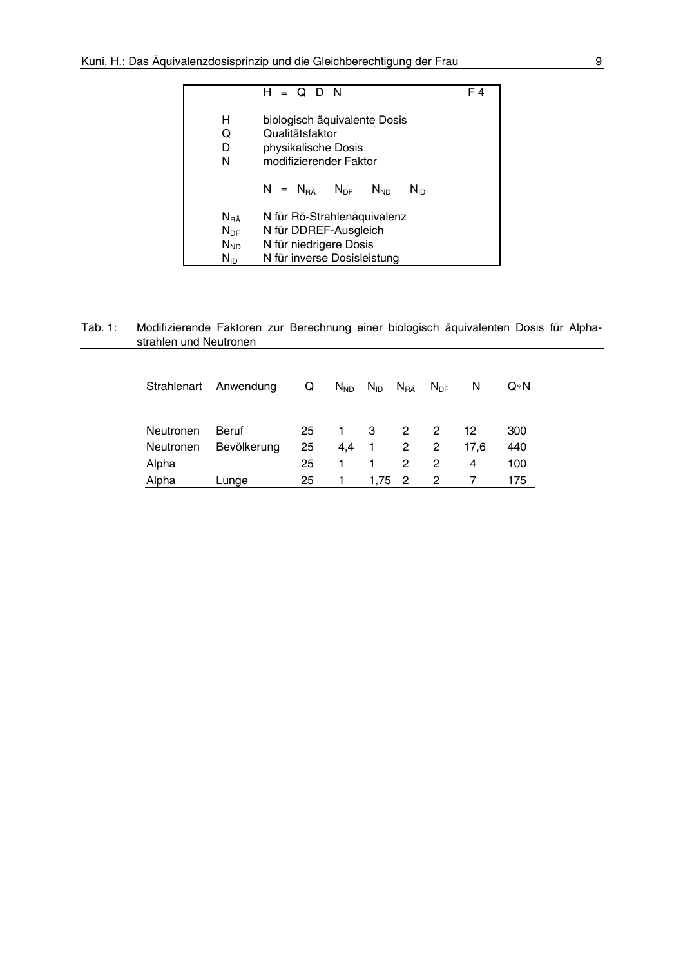<span id="page-8-0"></span>

|                                                                  | $H = Q D N$                                                                                                   | F4 |
|------------------------------------------------------------------|---------------------------------------------------------------------------------------------------------------|----|
| н<br>Q<br>D<br>N                                                 | biologisch äquivalente Dosis<br>Qualitätsfaktor<br>physikalische Dosis<br>modifizierender Faktor              |    |
|                                                                  | $N = N_{B\ddot{a}}$ $N_{DE}$ $N_{MD}$<br>Nın                                                                  |    |
| $N_{\rm R\AA}$<br>$N_{\text{DF}}$<br>$N_{ND}$<br>$N_{\text{ID}}$ | N für Rö-Strahlenäquivalenz<br>N für DDREF-Ausgleich<br>N für niedrigere Dosis<br>N für inverse Dosisleistung |    |

#### Tab. 1: Modifizierende Faktoren zur Berechnung einer biologisch äquivalenten Dosis für Alphastrahlen und Neutronen

|           | Strahlenart Anwendung | Q  |              | $N_{ND}$ $N_{ID}$ $N_{R\ddot{A}}$ |                | $N_{DE}$       | N    | Q*N |
|-----------|-----------------------|----|--------------|-----------------------------------|----------------|----------------|------|-----|
|           |                       |    |              |                                   |                |                |      |     |
| Neutronen | Beruf                 | 25 | $1 \quad$    | $3^{\circ}$                       | $\overline{2}$ | $\overline{2}$ | 12   | 300 |
| Neutronen | Bevölkerung           | 25 |              | 4,4 1 2                           |                | $\overline{2}$ | 17.6 | 440 |
| Alpha     |                       | 25 | 1            | $\overline{1}$                    | $\mathcal{P}$  | 2              | 4    | 100 |
| Alpha     | Lunge                 | 25 | $\mathbf{1}$ | 1,75 2                            |                | $\overline{2}$ |      | 175 |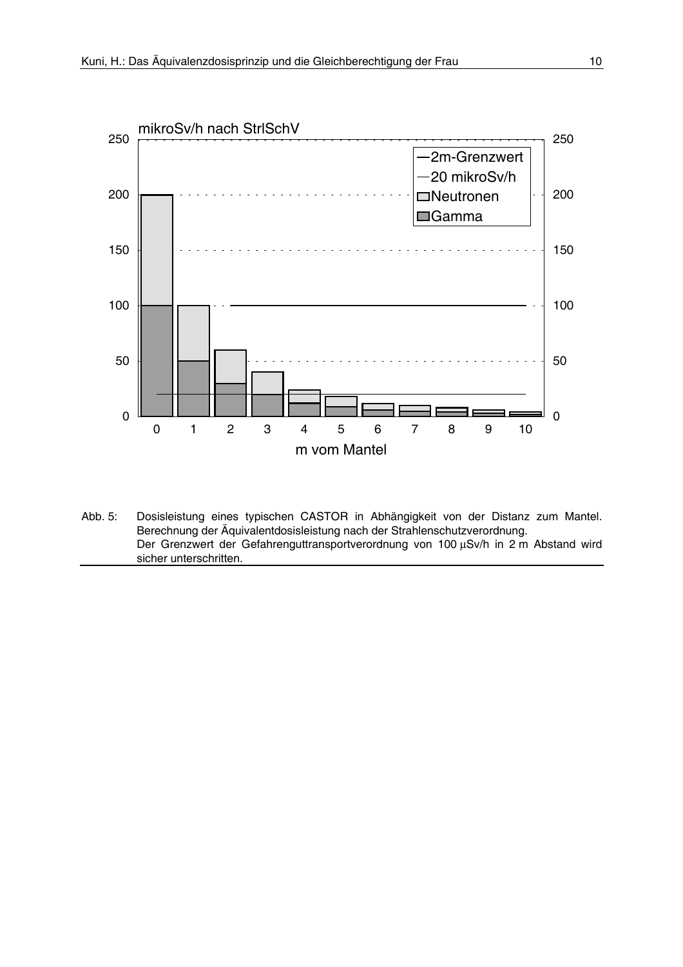<span id="page-9-0"></span>

Abb. 5: Dosisleistung eines typischen CASTOR in Abhängigkeit von der Distanz zum Mantel. Berechnung der Äquivalentdosisleistung nach der Strahlenschutzverordnung. Der Grenzwert der Gefahrenguttransportverordnung von 100 µSv/h in 2 m Abstand wird sicher unterschritten.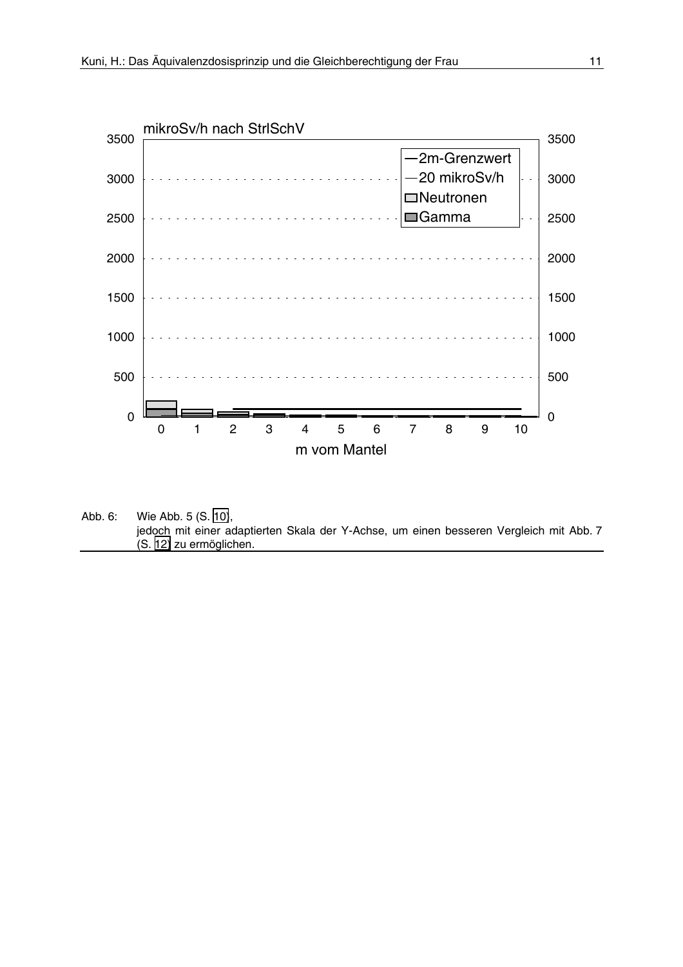

Abb. 6: Wie Abb. 5 (S. 10), jedoch mit einer adaptierten Skala der Y-Achse, um einen besseren Vergleich mit Abb. 7 (S. 12) zu ermöglichen.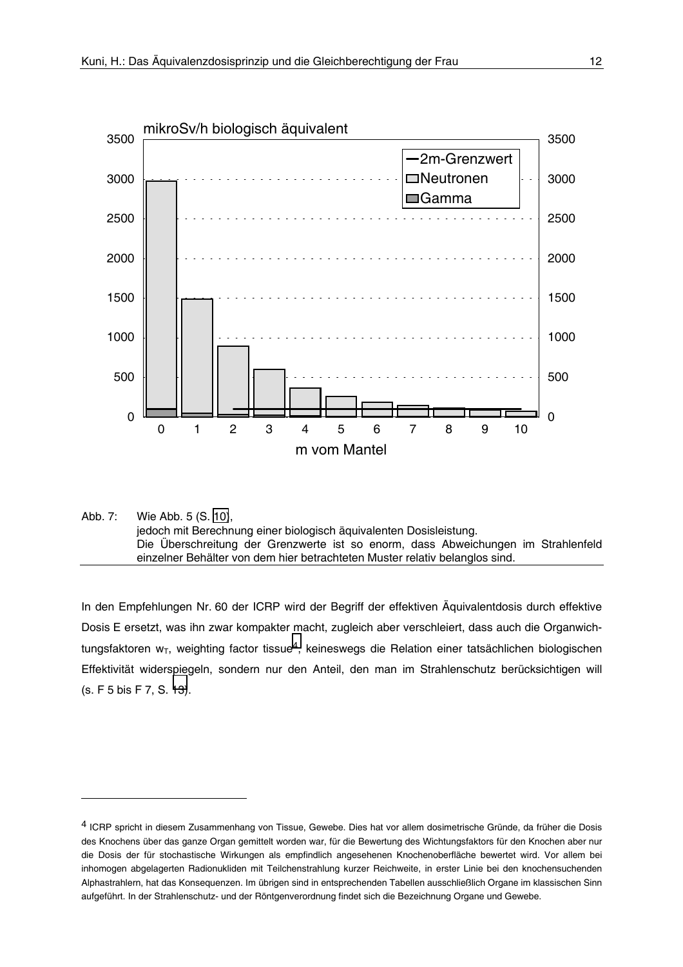<span id="page-11-0"></span>

Abb. 7: Wie Abb. 5 (S. 10), jedoch mit Berechnung einer biologisch äquivalenten Dosisleistung. Die Uberschreitung der Grenzwerte ist so enorm, dass Abweichungen im Strahlenfeld einzelner Behälter von dem hier betrachteten Muster relativ belanglos sind.

In den Empfehlungen Nr. 60 der ICRP wird der Begriff der effektiven Äquivalentdosis durch effektive Dosis E ersetzt, was ihn zwar kompakter macht, zugleich aber verschleiert, dass auch die Organwichtungsfaktoren  $w_T$ , weighting factor tissue<sup>4</sup>, keineswegs die Relation einer tatsächlichen biologischen Effektivität widerspiegeln, sondern nur den Anteil, den man im Strahlenschutz berücksichtigen will (s. F 5 bis F 7, S. 13).

<sup>&</sup>lt;sup>4</sup> ICRP spricht in diesem Zusammenhang von Tissue, Gewebe. Dies hat vor allem dosimetrische Gründe, da früher die Dosis des Knochens über das ganze Organ gemittelt worden war, für die Bewertung des Wichtungsfaktors für den Knochen aber nur die Dosis der für stochastische Wirkungen als empfindlich angesehenen Knochenoberfläche bewertet wird. Vor allem bei inhomogen abgelagerten Radionukliden mit Teilchenstrahlung kurzer Reichweite, in erster Linie bei den knochensuchenden Alphastrahlern, hat das Konsequenzen. Im übrigen sind in entsprechenden Tabellen ausschließlich Organe im klassischen Sinn aufgeführt. In der Strahlenschutz- und der Röntgenverordnung findet sich die Bezeichnung Organe und Gewebe.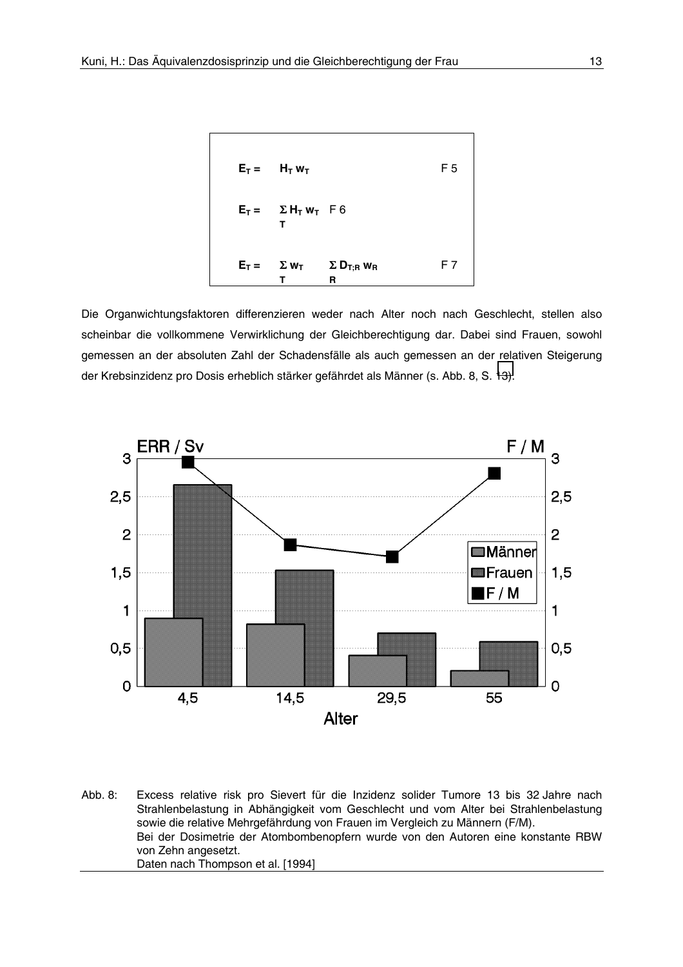<span id="page-12-0"></span>

Die Organwichtungsfaktoren differenzieren weder nach Alter noch nach Geschlecht, stellen also scheinbar die vollkommene Verwirklichung der Gleichberechtigung dar. Dabei sind Frauen, sowohl gemessen an der absoluten Zahl der Schadensfälle als auch gemessen an der relativen Steigerung der Krebsinzidenz pro Dosis erheblich stärker gefährdet als Männer (s. Abb. 8, S. 13).



Abb. 8: Excess relative risk pro Sievert für die Inzidenz solider Tumore 13 bis 32 Jahre nach Strahlenbelastung in Abhängigkeit vom Geschlecht und vom Alter bei Strahlenbelastung sowie die relative Mehrgefährdung von Frauen im Vergleich zu Männern (F/M). Bei der Dosimetrie der Atombombenopfern wurde von den Autoren eine konstante RBW von Zehn angesetzt. Daten nach Thompson et al. [1994]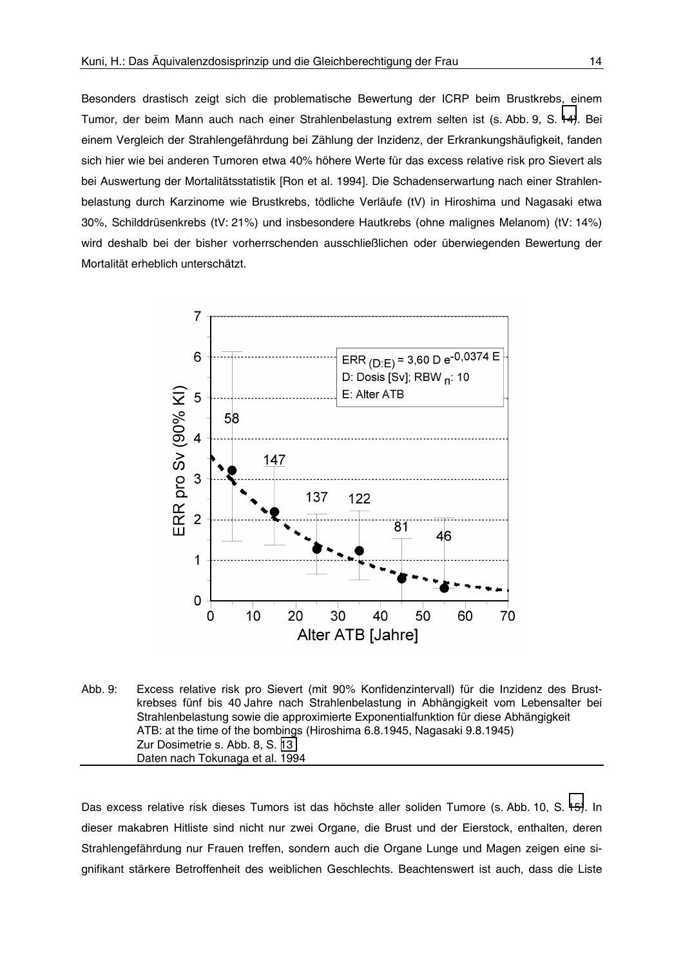Besonders drastisch zeigt sich die problematische Bewertung der ICRP beim Brustkrebs, einem Tumor, der beim Mann auch nach einer Strahlenbelastung extrem selten ist (s. Abb. 9, S. 14). Bei einem Vergleich der Strahlengefährdung bei Zählung der Inzidenz, der Erkrankungshäufigkeit, fanden sich hier wie bei anderen Tumoren etwa 40% höhere Werte für das excess relative risk pro Sievert als bei Auswertung der Mortalitätsstatistik [Ron et al. 1994]. Die Schadenserwartung nach einer Strahlenbelastung durch Karzinome wie Brustkrebs, tödliche Verläufe (tV) in Hiroshima und Nagasaki etwa 30%, Schilddrüsenkrebs (tV: 21%) und insbesondere Hautkrebs (ohne malignes Melanom) (tV: 14%) wird deshalb bei der bisher vorherrschenden ausschließlichen oder überwiegenden Bewertung der Mortalität erheblich unterschätzt.



Abb. 9: Excess relative risk pro Sievert (mit 90% Konfidenzintervall) für die Inzidenz des Brustkrebses fünf bis 40 Jahre nach Strahlenbelastung in Abhängigkeit vom Lebensalter bei Strahlenbelastung sowie die approximierte Exponentialfunktion für diese Abhängigkeit ATB: at the time of the bombings (Hiroshima 6.8.1945, Nagasaki 9.8.1945) Zur Dosimetrie s. Abb. 8, S. 13 Daten nach Tokunaga et al. 1994

Das excess relative risk dieses Tumors ist das höchste aller soliden Tumore (s. Abb. 10, S. 15). In dieser makabren Hitliste sind nicht nur zwei Organe, die Brust und der Eierstock, enthalten, deren Strahlengefährdung nur Frauen treffen, sondern auch die Organe Lunge und Magen zeigen eine signifikant stärkere Betroffenheit des weiblichen Geschlechts. Beachtenswert ist auch, dass die Liste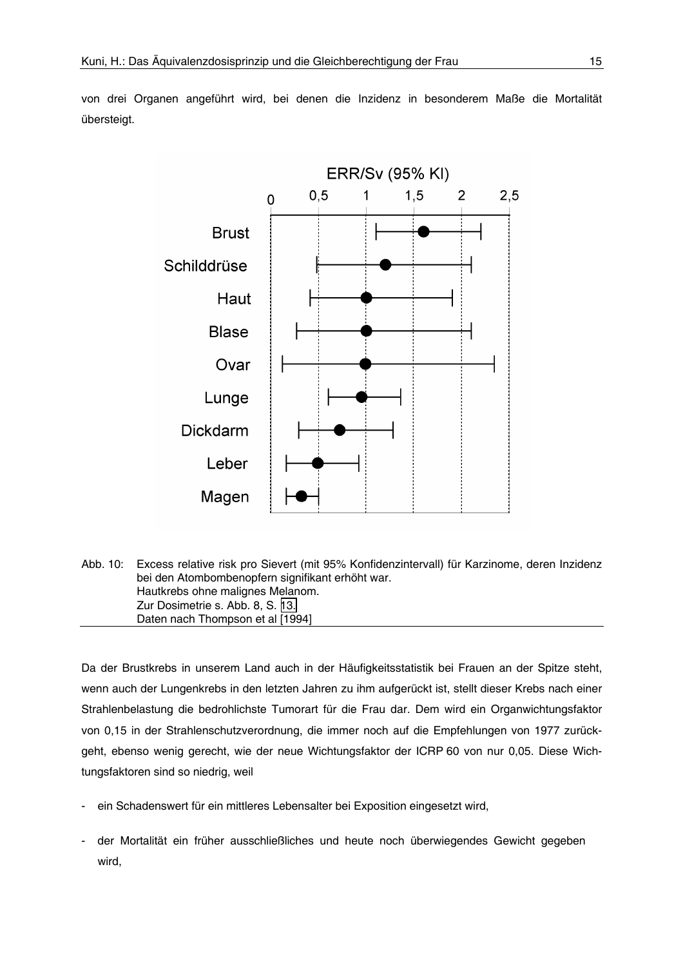<span id="page-14-0"></span>von drei Organen angeführt wird, bei denen die Inzidenz in besonderem Maße die Mortalität übersteigt.



Abb. 10: Excess relative risk pro Sievert (mit 95% Konfidenzintervall) für Karzinome, deren Inzidenz bei den Atombombenopfern signifikant erhöht war. Hautkrebs ohne malignes Melanom. Zur Dosimetrie s. Abb. 8, S. 13. Daten nach Thompson et al [1994]

Da der Brustkrebs in unserem Land auch in der Häufigkeitsstatistik bei Frauen an der Spitze steht, wenn auch der Lungenkrebs in den letzten Jahren zu ihm aufgerückt ist, stellt dieser Krebs nach einer Strahlenbelastung die bedrohlichste Tumorart für die Frau dar. Dem wird ein Organwichtungsfaktor von 0,15 in der Strahlenschutzverordnung, die immer noch auf die Empfehlungen von 1977 zurückgeht, ebenso wenig gerecht, wie der neue Wichtungsfaktor der ICRP 60 von nur 0,05. Diese Wichtungsfaktoren sind so niedrig, weil

- ein Schadenswert für ein mittleres Lebensalter bei Exposition eingesetzt wird,
- der Mortalität ein früher ausschließliches und heute noch überwiegendes Gewicht gegeben wird,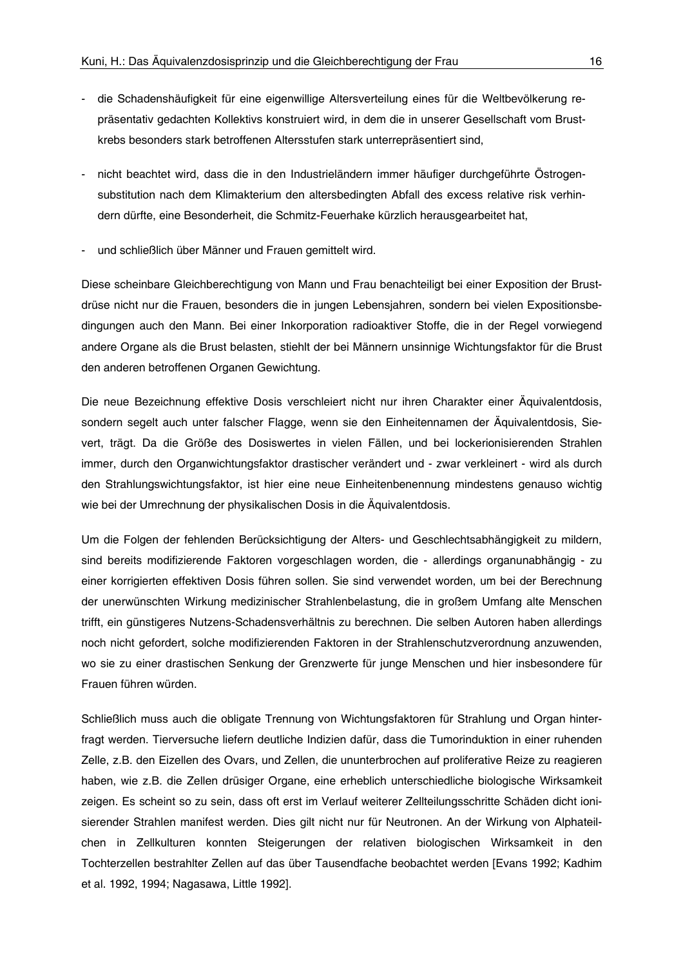- die Schadenshäufigkeit für eine eigenwillige Altersverteilung eines für die Weltbevölkerung repräsentativ gedachten Kollektivs konstruiert wird, in dem die in unserer Gesellschaft vom Brustkrebs besonders stark betroffenen Altersstufen stark unterrepräsentiert sind,
- nicht beachtet wird, dass die in den Industrieländern immer häufiger durchgeführte Östrogensubstitution nach dem Klimakterium den altersbedingten Abfall des excess relative risk verhindern dürfte, eine Besonderheit, die Schmitz-Feuerhake kürzlich herausgearbeitet hat.
- und schließlich über Männer und Frauen gemittelt wird.

Diese scheinbare Gleichberechtigung von Mann und Frau benachteiligt bei einer Exposition der Brustdrüse nicht nur die Frauen, besonders die in jungen Lebensjahren, sondern bei vielen Expositionsbedingungen auch den Mann. Bei einer Inkorporation radioaktiver Stoffe, die in der Regel vorwiegend andere Organe als die Brust belasten, stiehlt der bei Männern unsinnige Wichtungsfaktor für die Brust den anderen betroffenen Organen Gewichtung.

Die neue Bezeichnung effektive Dosis verschleiert nicht nur ihren Charakter einer Äquivalentdosis, sondern segelt auch unter falscher Flagge, wenn sie den Einheitennamen der Äguivalentdosis. Sievert, trägt. Da die Größe des Dosiswertes in vielen Fällen, und bei lockerionisierenden Strahlen immer, durch den Organwichtungsfaktor drastischer verändert und - zwar verkleinert - wird als durch den Strahlungswichtungsfaktor, ist hier eine neue Einheitenbenennung mindestens genauso wichtig wie bei der Umrechnung der physikalischen Dosis in die Äquivalentdosis.

Um die Folgen der fehlenden Berücksichtigung der Alters- und Geschlechtsabhängigkeit zu mildern, sind bereits modifizierende Faktoren vorgeschlagen worden, die - allerdings organunabhängig - zu einer korrigierten effektiven Dosis führen sollen. Sie sind verwendet worden, um bei der Berechnung der unerwünschten Wirkung medizinischer Strahlenbelastung, die in großem Umfang alte Menschen trifft, ein günstigeres Nutzens-Schadensverhältnis zu berechnen. Die selben Autoren haben allerdings noch nicht gefordert, solche modifizierenden Faktoren in der Strahlenschutzverordnung anzuwenden, wo sie zu einer drastischen Senkung der Grenzwerte für junge Menschen und hier insbesondere für Frauen führen würden.

Schließlich muss auch die obligate Trennung von Wichtungsfaktoren für Strahlung und Organ hinterfragt werden. Tierversuche liefern deutliche Indizien dafür, dass die Tumorinduktion in einer ruhenden Zelle, z.B. den Eizellen des Ovars, und Zellen, die ununterbrochen auf proliferative Reize zu reagieren haben, wie z.B. die Zellen drüsiger Organe, eine erheblich unterschiedliche biologische Wirksamkeit zeigen. Es scheint so zu sein, dass oft erst im Verlauf weiterer Zellteilungsschritte Schäden dicht ionisierender Strahlen manifest werden. Dies gilt nicht nur für Neutronen. An der Wirkung von Alphateilchen in Zellkulturen konnten Steigerungen der relativen biologischen Wirksamkeit in den Tochterzellen bestrahlter Zellen auf das über Tausendfache beobachtet werden [Evans 1992; Kadhim et al. 1992, 1994; Nagasawa, Little 1992].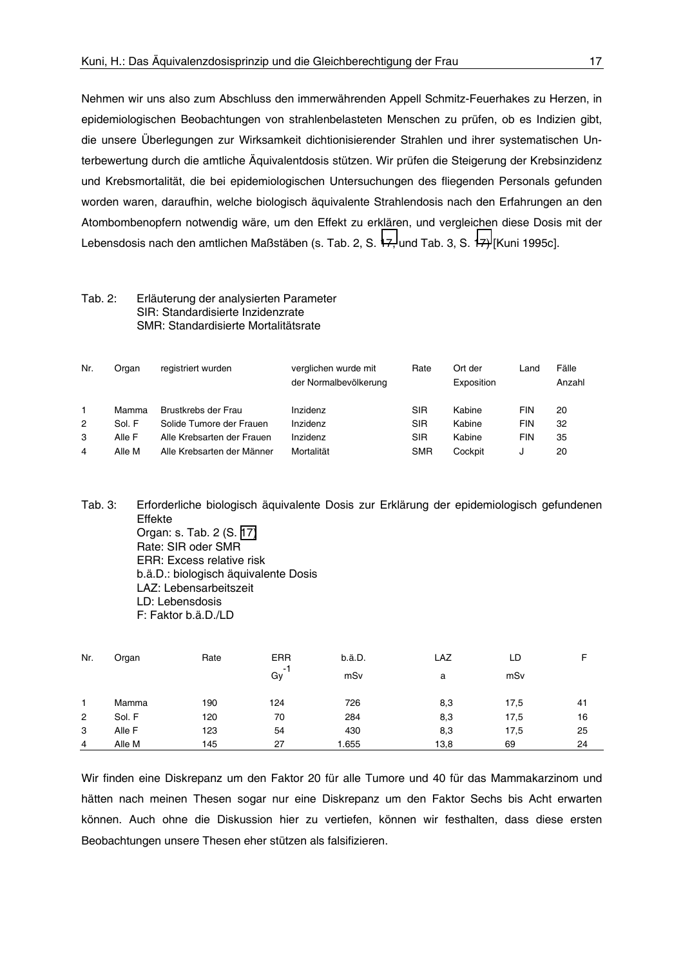Nehmen wir uns also zum Abschluss den immerwährenden Appell Schmitz-Feuerhakes zu Herzen, in epidemiologischen Beobachtungen von strahlenbelasteten Menschen zu prüfen, ob es Indizien gibt, die unsere Überlegungen zur Wirksamkeit dichtionisierender Strahlen und ihrer systematischen Unterbewertung durch die amtliche Äguivalentdosis stützen. Wir prüfen die Steigerung der Krebsinzidenz und Krebsmortalität, die bei epidemiologischen Untersuchungen des fliegenden Personals gefunden worden waren, daraufhin, welche biologisch äguivalente Strahlendosis nach den Erfahrungen an den Atombombenopfern notwendig wäre, um den Effekt zu erklären, und vergleichen diese Dosis mit der Lebensdosis nach den amtlichen Maßstäben (s. Tab. 2, S. 17, und Tab. 3, S. 17) [Kuni 1995c].

#### $Tab. 2:$ Erläuterung der analysierten Parameter SIR: Standardisierte Inzidenzrate SMR: Standardisierte Mortalitätsrate

| Nr. | Organ  | registriert wurden         | verglichen wurde mit<br>der Normalbevölkerung | Rate       | Ort der<br>Exposition | Land       | Fälle<br>Anzahl |
|-----|--------|----------------------------|-----------------------------------------------|------------|-----------------------|------------|-----------------|
|     | Mamma  | Brustkrebs der Frau        | Inzidenz                                      | SIR        | Kabine                | <b>FIN</b> | 20              |
| 2   | Sol. F | Solide Tumore der Frauen   | Inzidenz                                      | SIR        | Kabine                | FIN        | 32              |
| 3   | Alle F | Alle Krebsarten der Frauen | Inzidenz                                      | SIR        | Kabine                | <b>FIN</b> | 35              |
| 4   | Alle M | Alle Krebsarten der Männer | Mortalität                                    | <b>SMR</b> | Cockpit               | u          | 20              |

Tab. 3: Erforderliche biologisch äquivalente Dosis zur Erklärung der epidemiologisch gefundenen Effekte Organ: s. Tab. 2 (S. 17) Rate: SIR oder SMR **ERR: Excess relative risk** b.ä.D.: biologisch äguivalente Dosis LAZ: Lebensarbeitszeit LD: Lebensdosis F: Faktor b.ä.D./LD

| Nr.            | Organ  | Rate | <b>ERR</b>     | b.ä.D. | LAZ  | LD   |    |
|----------------|--------|------|----------------|--------|------|------|----|
|                |        |      | $\sim$ 1<br>Gy | mSv    | а    | mSv  |    |
|                | Mamma  | 190  | 124            | 726    | 8,3  | 17,5 | 41 |
| $\overline{2}$ | Sol. F | 120  | 70             | 284    | 8,3  | 17,5 | 16 |
| 3              | Alle F | 123  | 54             | 430    | 8,3  | 17,5 | 25 |
| $\overline{4}$ | Alle M | 145  | 27             | 1.655  | 13,8 | 69   | 24 |

Wir finden eine Diskrepanz um den Faktor 20 für alle Tumore und 40 für das Mammakarzinom und hätten nach meinen Thesen sogar nur eine Diskrepanz um den Faktor Sechs bis Acht erwarten können. Auch ohne die Diskussion hier zu vertiefen, können wir festhalten, dass diese ersten Beobachtungen unsere Thesen eher stützen als falsifizieren.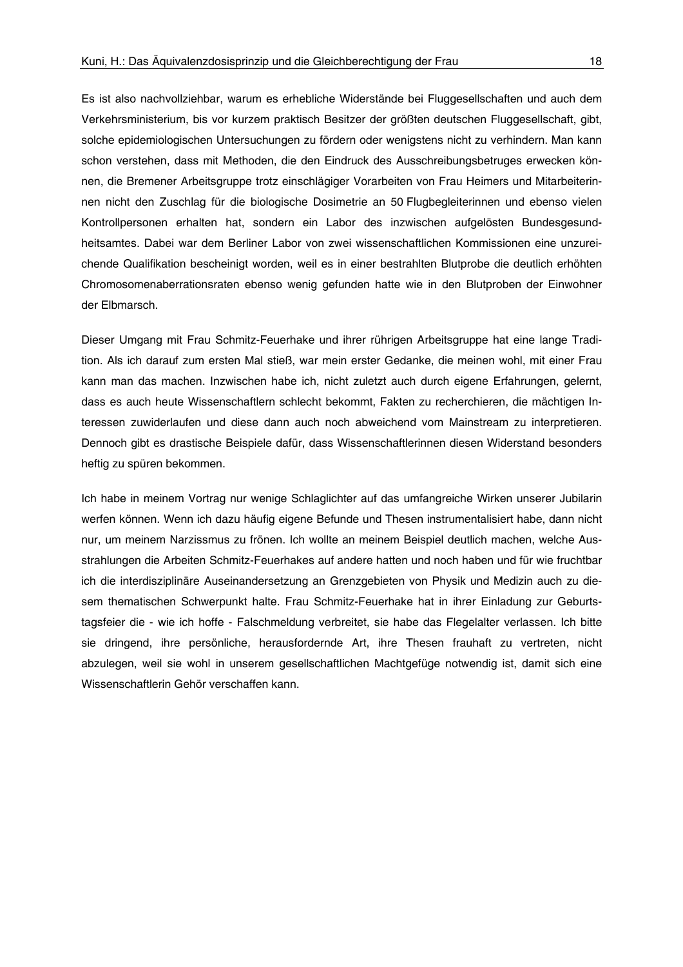Es ist also nachvollziehbar, warum es erhebliche Widerstände bei Fluggesellschaften und auch dem Verkehrsministerium, bis vor kurzem praktisch Besitzer der größten deutschen Fluggesellschaft, gibt, solche epidemiologischen Untersuchungen zu fördern oder wenigstens nicht zu verhindern. Man kann schon verstehen, dass mit Methoden, die den Eindruck des Ausschreibungsbetruges erwecken können, die Bremener Arbeitsgruppe trotz einschlägiger Vorarbeiten von Frau Heimers und Mitarbeiterinnen nicht den Zuschlag für die biologische Dosimetrie an 50 Flugbegleiterinnen und ebenso vielen Kontrollpersonen erhalten hat, sondern ein Labor des inzwischen aufgelösten Bundesgesundheitsamtes. Dabei war dem Berliner Labor von zwei wissenschaftlichen Kommissionen eine unzureichende Qualifikation bescheinigt worden, weil es in einer bestrahlten Blutprobe die deutlich erhöhten Chromosomenaberrationsraten ebenso wenig gefunden hatte wie in den Blutproben der Einwohner der Elbmarsch.

Dieser Umgang mit Frau Schmitz-Feuerhake und ihrer rührigen Arbeitsgruppe hat eine lange Tradition. Als ich darauf zum ersten Mal stieß, war mein erster Gedanke, die meinen wohl, mit einer Frau kann man das machen. Inzwischen habe ich, nicht zuletzt auch durch eigene Erfahrungen, gelernt, dass es auch heute Wissenschaftlern schlecht bekommt, Fakten zu recherchieren, die mächtigen Interessen zuwiderlaufen und diese dann auch noch abweichend vom Mainstream zu interpretieren. Dennoch gibt es drastische Beispiele dafür, dass Wissenschaftlerinnen diesen Widerstand besonders heftig zu spüren bekommen.

Ich habe in meinem Vortrag nur wenige Schlaglichter auf das umfangreiche Wirken unserer Jubilarin werfen können. Wenn ich dazu häufig eigene Befunde und Thesen instrumentalisiert habe, dann nicht nur, um meinem Narzissmus zu frönen. Ich wollte an meinem Beispiel deutlich machen, welche Ausstrahlungen die Arbeiten Schmitz-Feuerhakes auf andere hatten und noch haben und für wie fruchtbar ich die interdisziplinäre Auseinandersetzung an Grenzgebieten von Physik und Medizin auch zu diesem thematischen Schwerpunkt halte. Frau Schmitz-Feuerhake hat in ihrer Einladung zur Geburtstagsfeier die - wie ich hoffe - Falschmeldung verbreitet, sie habe das Flegelalter verlassen. Ich bitte sie dringend, ihre persönliche, herausfordernde Art, ihre Thesen frauhaft zu vertreten, nicht abzulegen, weil sie wohl in unserem gesellschaftlichen Machtgefüge notwendig ist, damit sich eine Wissenschaftlerin Gehör verschaffen kann.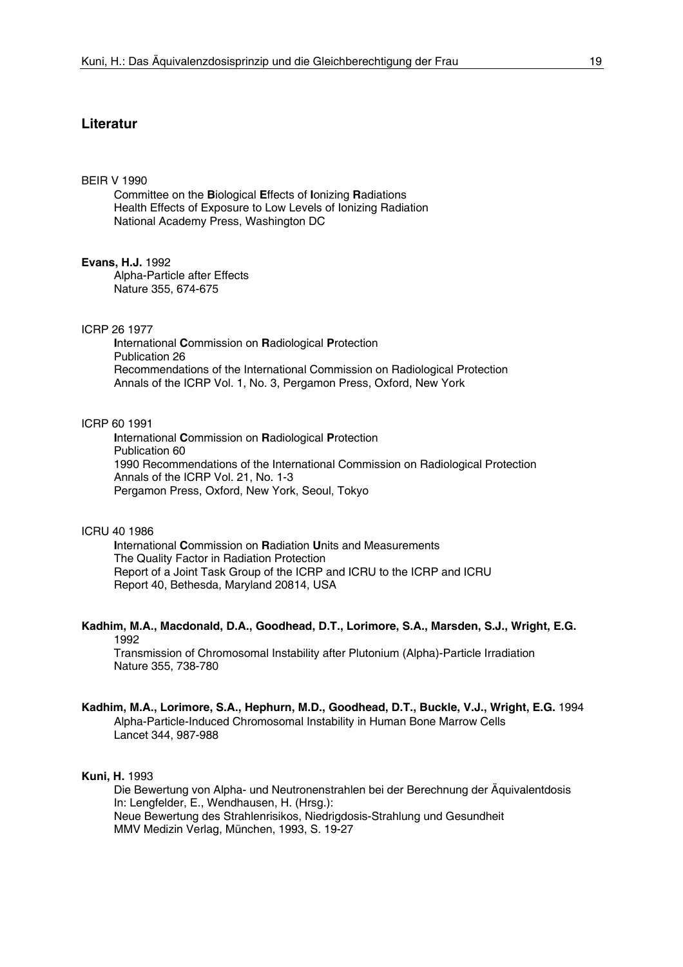## **Literatur**

#### **BEIR V 1990**

Committee on the Biological Effects of Ionizing Radiations Health Effects of Exposure to Low Levels of Ionizing Radiation National Academy Press, Washington DC

#### **Evans, H.J. 1992**

Alpha-Particle after Effects Nature 355, 674-675

#### ICRP 26 1977

International Commission on Radiological Protection Publication 26 Recommendations of the International Commission on Radiological Protection Annals of the ICRP Vol. 1, No. 3, Pergamon Press, Oxford, New York

### ICRP 60 1991

International Commission on Radiological Protection Publication 60 1990 Recommendations of the International Commission on Radiological Protection Annals of the ICRP Vol. 21, No. 1-3 Pergamon Press, Oxford, New York, Seoul, Tokyo

#### ICRU 40 1986

International Commission on Radiation Units and Measurements The Quality Factor in Radiation Protection Report of a Joint Task Group of the ICRP and ICRU to the ICRP and ICRU Report 40, Bethesda, Maryland 20814, USA

### Kadhim, M.A., Macdonald, D.A., Goodhead, D.T., Lorimore, S.A., Marsden, S.J., Wright, E.G. 1992

Transmission of Chromosomal Instability after Plutonium (Alpha)-Particle Irradiation Nature 355, 738-780

#### Kadhim, M.A., Lorimore, S.A., Hephurn, M.D., Goodhead, D.T., Buckle, V.J., Wright, E.G. 1994 Alpha-Particle-Induced Chromosomal Instability in Human Bone Marrow Cells Lancet 344, 987-988

#### **Kuni, H. 1993**

Die Bewertung von Alpha- und Neutronenstrahlen bei der Berechnung der Äquivalentdosis In: Lengfelder, E., Wendhausen, H. (Hrsg.): Neue Bewertung des Strahlenrisikos, Niedrigdosis-Strahlung und Gesundheit MMV Medizin Verlag, München, 1993, S. 19-27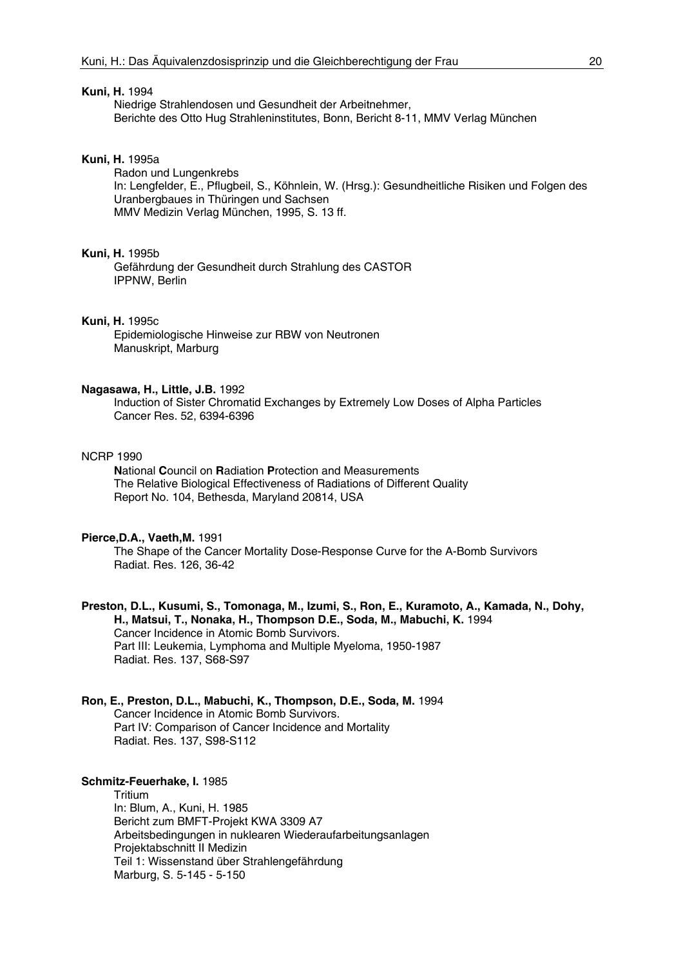#### Kuni, H. 1994

Niedrige Strahlendosen und Gesundheit der Arbeitnehmer, Berichte des Otto Hug Strahleninstitutes, Bonn, Bericht 8-11, MMV Verlag München

### **Kuni, H. 1995a**

Radon und Lungenkrebs In: Lengfelder, E., Pflugbeil, S., Köhnlein, W. (Hrsg.): Gesundheitliche Risiken und Folgen des Uranbergbaues in Thüringen und Sachsen MMV Medizin Verlag München, 1995, S. 13 ff.

#### **Kuni. H. 1995b**

Gefährdung der Gesundheit durch Strahlung des CASTOR IPPNW, Berlin

### Kuni, H. 1995c

Epidemiologische Hinweise zur RBW von Neutronen Manuskript, Marburg

#### Nagasawa, H., Little, J.B. 1992

Induction of Sister Chromatid Exchanges by Extremely Low Doses of Alpha Particles Cancer Res. 52, 6394-6396

#### **NCRP 1990**

National Council on Radiation Protection and Measurements The Relative Biological Effectiveness of Radiations of Different Quality Report No. 104, Bethesda, Maryland 20814, USA

#### Pierce.D.A., Vaeth.M. 1991

The Shape of the Cancer Mortality Dose-Response Curve for the A-Bomb Survivors Radiat. Res. 126, 36-42

Preston, D.L., Kusumi, S., Tomonaga, M., Izumi, S., Ron, E., Kuramoto, A., Kamada, N., Dohy, H., Matsui, T., Nonaka, H., Thompson D.E., Soda, M., Mabuchi, K. 1994 Cancer Incidence in Atomic Bomb Survivors. Part III: Leukemia, Lymphoma and Multiple Myeloma, 1950-1987 Radiat. Res. 137, S68-S97

### Ron, E., Preston, D.L., Mabuchi, K., Thompson, D.E., Soda, M. 1994 Cancer Incidence in Atomic Bomb Survivors. Part IV: Comparison of Cancer Incidence and Mortality Radiat. Res. 137, S98-S112

#### Schmitz-Feuerhake, I. 1985

Tritium In: Blum, A., Kuni, H. 1985 Bericht zum BMFT-Projekt KWA 3309 A7 Arbeitsbedingungen in nuklearen Wiederaufarbeitungsanlagen Projektabschnitt II Medizin Teil 1: Wissenstand über Strahlengefährdung Marburg, S. 5-145 - 5-150